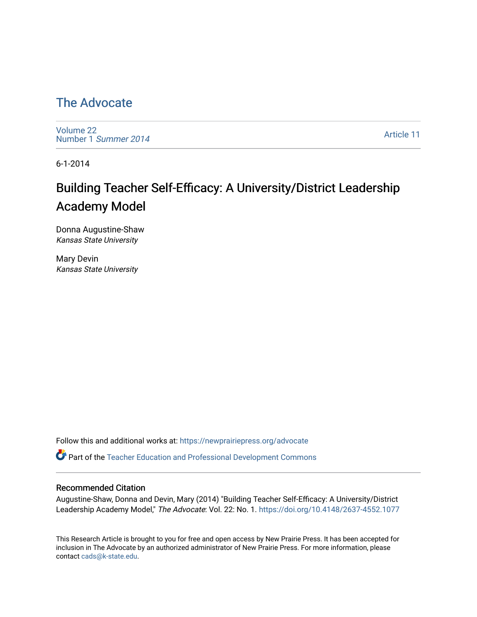### [The Advocate](https://newprairiepress.org/advocate)

[Volume 22](https://newprairiepress.org/advocate/vol22) [Number 1](https://newprairiepress.org/advocate/vol22/iss1) Summer 2014

[Article 11](https://newprairiepress.org/advocate/vol22/iss1/11) 

6-1-2014

# Building Teacher Self-Efficacy: A University/District Leadership Academy Model

Donna Augustine-Shaw Kansas State University

Mary Devin Kansas State University

Follow this and additional works at: [https://newprairiepress.org/advocate](https://newprairiepress.org/advocate?utm_source=newprairiepress.org%2Fadvocate%2Fvol22%2Fiss1%2F11&utm_medium=PDF&utm_campaign=PDFCoverPages) 

Part of the [Teacher Education and Professional Development Commons](http://network.bepress.com/hgg/discipline/803?utm_source=newprairiepress.org%2Fadvocate%2Fvol22%2Fiss1%2F11&utm_medium=PDF&utm_campaign=PDFCoverPages) 

#### Recommended Citation

Augustine-Shaw, Donna and Devin, Mary (2014) "Building Teacher Self-Efficacy: A University/District Leadership Academy Model," The Advocate: Vol. 22: No. 1. <https://doi.org/10.4148/2637-4552.1077>

This Research Article is brought to you for free and open access by New Prairie Press. It has been accepted for inclusion in The Advocate by an authorized administrator of New Prairie Press. For more information, please contact [cads@k-state.edu](mailto:cads@k-state.edu).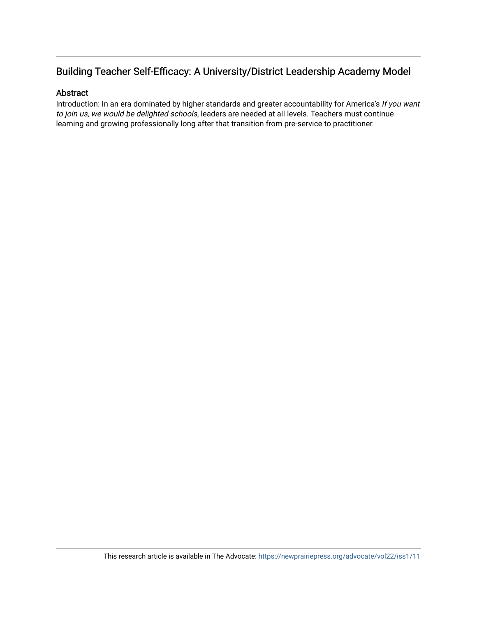#### Building Teacher Self-Efficacy: A University/District Leadership Academy Model

#### Abstract

Introduction: In an era dominated by higher standards and greater accountability for America's If you want to join us, we would be delighted schools, leaders are needed at all levels. Teachers must continue learning and growing professionally long after that transition from pre-service to practitioner.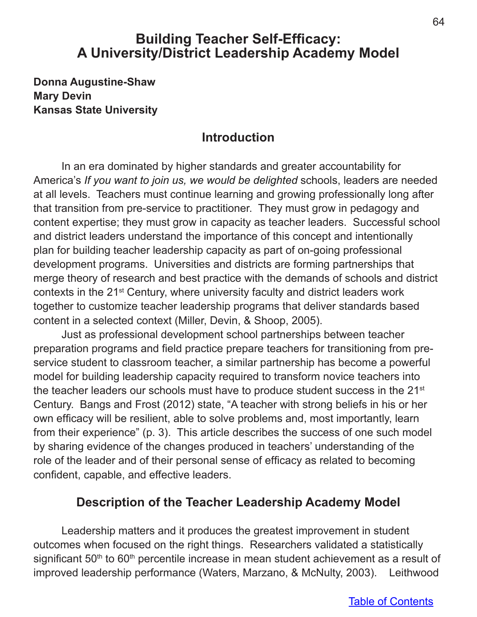# **Building Teacher Self-Efficacy: A University/District Leadership Academy Model**

**Donna Augustine-Shaw Mary Devin Kansas State University**

### **Introduction**

In an era dominated by higher standards and greater accountability for America's *If you want to join us, we would be delighted* schools, leaders are needed at all levels. Teachers must continue learning and growing professionally long after that transition from pre-service to practitioner. They must grow in pedagogy and content expertise; they must grow in capacity as teacher leaders. Successful school and district leaders understand the importance of this concept and intentionally plan for building teacher leadership capacity as part of on-going professional development programs. Universities and districts are forming partnerships that merge theory of research and best practice with the demands of schools and district contexts in the 21st Century, where university faculty and district leaders work together to customize teacher leadership programs that deliver standards based content in a selected context (Miller, Devin, & Shoop, 2005).

Just as professional development school partnerships between teacher preparation programs and field practice prepare teachers for transitioning from preservice student to classroom teacher, a similar partnership has become a powerful model for building leadership capacity required to transform novice teachers into the teacher leaders our schools must have to produce student success in the 21st Century. Bangs and Frost (2012) state, "A teacher with strong beliefs in his or her own efficacy will be resilient, able to solve problems and, most importantly, learn from their experience" (p. 3). This article describes the success of one such model by sharing evidence of the changes produced in teachers' understanding of the role of the leader and of their personal sense of efficacy as related to becoming confident, capable, and effective leaders.

### **Description of the Teacher Leadership Academy Model**

Leadership matters and it produces the greatest improvement in student outcomes when focused on the right things. Researchers validated a statistically significant  $50<sup>th</sup>$  to  $60<sup>th</sup>$  percentile increase in mean student achievement as a result of improved leadership performance (Waters, Marzano, & McNulty, 2003). Leithwood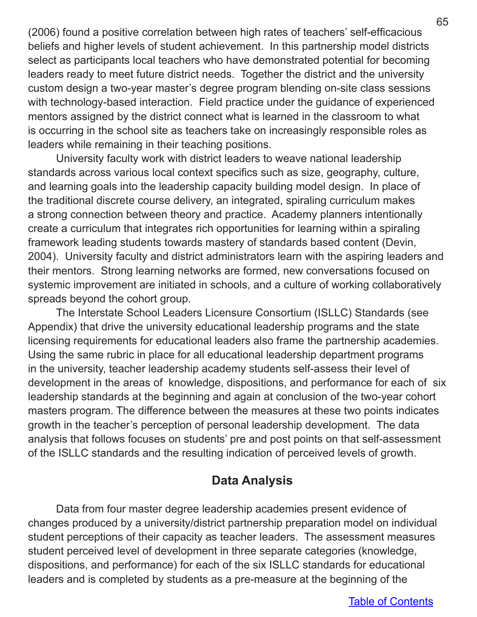(2006) found a positive correlation between high rates of teachers' self-efficacious beliefs and higher levels of student achievement. In this partnership model districts select as participants local teachers who have demonstrated potential for becoming leaders ready to meet future district needs. Together the district and the university custom design a two-year master's degree program blending on-site class sessions with technology-based interaction. Field practice under the guidance of experienced mentors assigned by the district connect what is learned in the classroom to what is occurring in the school site as teachers take on increasingly responsible roles as leaders while remaining in their teaching positions.

University faculty work with district leaders to weave national leadership standards across various local context specifics such as size, geography, culture, and learning goals into the leadership capacity building model design. In place of the traditional discrete course delivery, an integrated, spiraling curriculum makes a strong connection between theory and practice. Academy planners intentionally create a curriculum that integrates rich opportunities for learning within a spiraling framework leading students towards mastery of standards based content (Devin, 2004). University faculty and district administrators learn with the aspiring leaders and their mentors. Strong learning networks are formed, new conversations focused on systemic improvement are initiated in schools, and a culture of working collaboratively spreads beyond the cohort group.

The Interstate School Leaders Licensure Consortium (ISLLC) Standards (see Appendix) that drive the university educational leadership programs and the state licensing requirements for educational leaders also frame the partnership academies. Using the same rubric in place for all educational leadership department programs in the university, teacher leadership academy students self-assess their level of development in the areas of knowledge, dispositions, and performance for each of six leadership standards at the beginning and again at conclusion of the two-year cohort masters program. The difference between the measures at these two points indicates growth in the teacher's perception of personal leadership development. The data analysis that follows focuses on students' pre and post points on that self-assessment of the ISLLC standards and the resulting indication of perceived levels of growth.

### **Data Analysis**

Data from four master degree leadership academies present evidence of changes produced by a university/district partnership preparation model on individual student perceptions of their capacity as teacher leaders. The assessment measures student perceived level of development in three separate categories (knowledge, dispositions, and performance) for each of the six ISLLC standards for educational leaders and is completed by students as a pre-measure at the beginning of the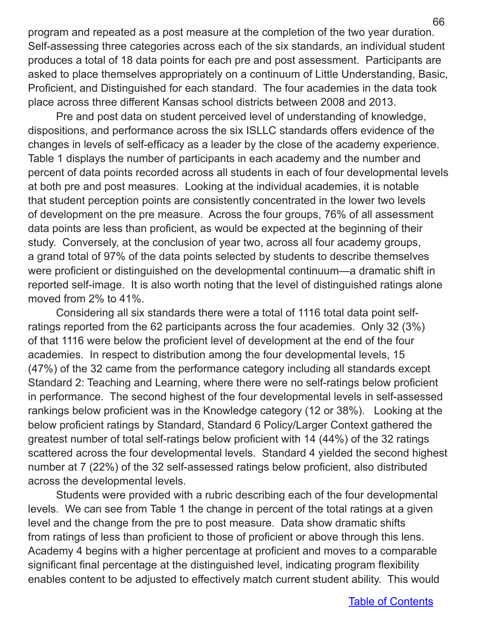program and repeated as a post measure at the completion of the two year duration. Self-assessing three categories across each of the six standards, an individual student produces a total of 18 data points for each pre and post assessment. Participants are asked to place themselves appropriately on a continuum of Little Understanding, Basic, Proficient, and Distinguished for each standard. The four academies in the data took place across three different Kansas school districts between 2008 and 2013.

Pre and post data on student perceived level of understanding of knowledge, dispositions, and performance across the six ISLLC standards offers evidence of the changes in levels of self-efficacy as a leader by the close of the academy experience. Table 1 displays the number of participants in each academy and the number and percent of data points recorded across all students in each of four developmental levels at both pre and post measures. Looking at the individual academies, it is notable that student perception points are consistently concentrated in the lower two levels of development on the pre measure. Across the four groups, 76% of all assessment data points are less than proficient, as would be expected at the beginning of their study. Conversely, at the conclusion of year two, across all four academy groups, a grand total of 97% of the data points selected by students to describe themselves were proficient or distinguished on the developmental continuum—a dramatic shift in reported self-image. It is also worth noting that the level of distinguished ratings alone moved from 2% to 41%.

Considering all six standards there were a total of 1116 total data point selfratings reported from the 62 participants across the four academies. Only 32 (3%) of that 1116 were below the proficient level of development at the end of the four academies. In respect to distribution among the four developmental levels, 15 (47%) of the 32 came from the performance category including all standards except Standard 2: Teaching and Learning, where there were no self-ratings below proficient in performance. The second highest of the four developmental levels in self-assessed rankings below proficient was in the Knowledge category (12 or 38%). Looking at the below proficient ratings by Standard, Standard 6 Policy/Larger Context gathered the greatest number of total self-ratings below proficient with 14 (44%) of the 32 ratings scattered across the four developmental levels. Standard 4 yielded the second highest number at 7 (22%) of the 32 self-assessed ratings below proficient, also distributed across the developmental levels.

Students were provided with a rubric describing each of the four developmental levels. We can see from Table 1 the change in percent of the total ratings at a given level and the change from the pre to post measure. Data show dramatic shifts from ratings of less than proficient to those of proficient or above through this lens. Academy 4 begins with a higher percentage at proficient and moves to a comparable significant final percentage at the distinguished level, indicating program flexibility enables content to be adjusted to effectively match current student ability. This would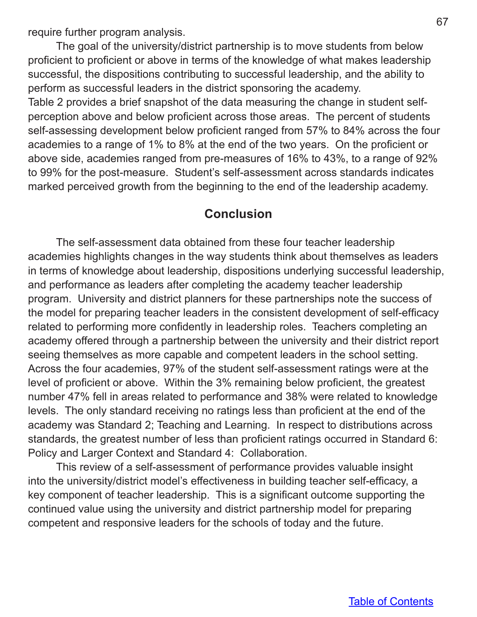require further program analysis.

The goal of the university/district partnership is to move students from below proficient to proficient or above in terms of the knowledge of what makes leadership successful, the dispositions contributing to successful leadership, and the ability to perform as successful leaders in the district sponsoring the academy. Table 2 provides a brief snapshot of the data measuring the change in student selfperception above and below proficient across those areas. The percent of students self-assessing development below proficient ranged from 57% to 84% across the four academies to a range of 1% to 8% at the end of the two years. On the proficient or above side, academies ranged from pre-measures of 16% to 43%, to a range of 92% to 99% for the post-measure. Student's self-assessment across standards indicates marked perceived growth from the beginning to the end of the leadership academy.

#### **Conclusion**

The self-assessment data obtained from these four teacher leadership academies highlights changes in the way students think about themselves as leaders in terms of knowledge about leadership, dispositions underlying successful leadership, and performance as leaders after completing the academy teacher leadership program. University and district planners for these partnerships note the success of the model for preparing teacher leaders in the consistent development of self-efficacy related to performing more confidently in leadership roles. Teachers completing an academy offered through a partnership between the university and their district report seeing themselves as more capable and competent leaders in the school setting. Across the four academies, 97% of the student self-assessment ratings were at the level of proficient or above. Within the 3% remaining below proficient, the greatest number 47% fell in areas related to performance and 38% were related to knowledge levels. The only standard receiving no ratings less than proficient at the end of the academy was Standard 2; Teaching and Learning. In respect to distributions across standards, the greatest number of less than proficient ratings occurred in Standard 6: Policy and Larger Context and Standard 4: Collaboration.

This review of a self-assessment of performance provides valuable insight into the university/district model's effectiveness in building teacher self-efficacy, a key component of teacher leadership. This is a significant outcome supporting the continued value using the university and district partnership model for preparing competent and responsive leaders for the schools of today and the future.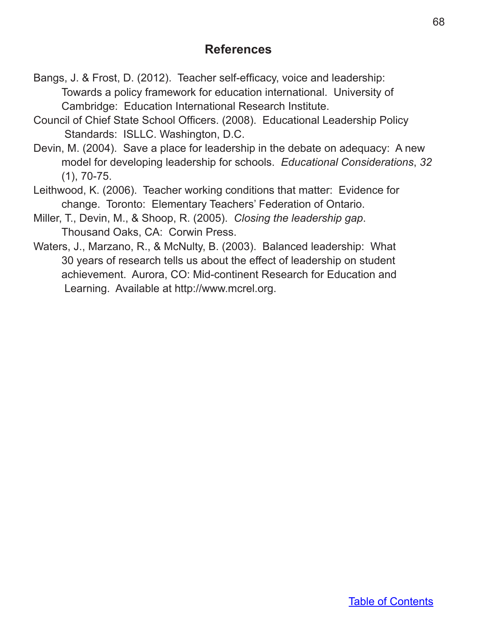## **References**

- Bangs, J. & Frost, D. (2012). Teacher self-efficacy, voice and leadership: Towards a policy framework for education international. University of Cambridge: Education International Research Institute.
- Council of Chief State School Officers. (2008). Educational Leadership Policy Standards: ISLLC. Washington, D.C.
- Devin, M. (2004). Save a place for leadership in the debate on adequacy: A new model for developing leadership for schools. *Educational Considerations*, *32*  (1), 70-75.
- Leithwood, K. (2006). Teacher working conditions that matter: Evidence for change. Toronto: Elementary Teachers' Federation of Ontario.
- Miller, T., Devin, M., & Shoop, R. (2005). *Closing the leadership gap*. Thousand Oaks, CA: Corwin Press.
- Waters, J., Marzano, R., & McNulty, B. (2003). Balanced leadership: What 30 years of research tells us about the effect of leadership on student achievement. Aurora, CO: Mid-continent Research for Education and Learning. Available at http://www.mcrel.org.